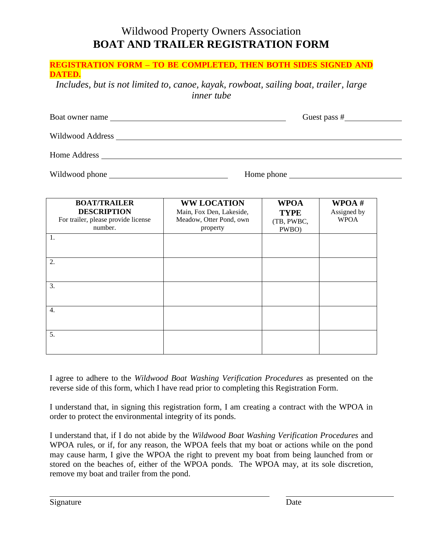# Wildwood Property Owners Association **BOAT AND TRAILER REGISTRATION FORM**

| <b>REGISTRATION FORM - TO BE COMPLETED, THEN BOTH SIDES SIGNED AND</b><br>DATED.<br>Includes, but is not limited to, canoe, kayak, rowboat, sailing boat, trailer, large<br><i>inner</i> tube |                                                                                       |                                                   |                                        |
|-----------------------------------------------------------------------------------------------------------------------------------------------------------------------------------------------|---------------------------------------------------------------------------------------|---------------------------------------------------|----------------------------------------|
|                                                                                                                                                                                               |                                                                                       | Guest pass $#$                                    |                                        |
|                                                                                                                                                                                               |                                                                                       |                                                   |                                        |
|                                                                                                                                                                                               |                                                                                       |                                                   |                                        |
|                                                                                                                                                                                               | Home phone                                                                            |                                                   |                                        |
| <b>BOAT/TRAILER</b><br><b>DESCRIPTION</b><br>For trailer, please provide license<br>number.                                                                                                   | <b>WW LOCATION</b><br>Main, Fox Den, Lakeside,<br>Meadow, Otter Pond, own<br>property | <b>WPOA</b><br><b>TYPE</b><br>(TB, PWBC,<br>PWBO) | WPOA $#$<br>Assigned by<br><b>WPOA</b> |
| $\overline{1}$ .                                                                                                                                                                              |                                                                                       |                                                   |                                        |
| $\overline{2}$ .                                                                                                                                                                              |                                                                                       |                                                   |                                        |
| $\overline{3}$ .                                                                                                                                                                              |                                                                                       |                                                   |                                        |
| $\overline{4}$ .                                                                                                                                                                              |                                                                                       |                                                   |                                        |

I agree to adhere to the *Wildwood Boat Washing Verification Procedures* as presented on the reverse side of this form, which I have read prior to completing this Registration Form.

I understand that, in signing this registration form, I am creating a contract with the WPOA in order to protect the environmental integrity of its ponds.

I understand that, if I do not abide by the *Wildwood Boat Washing Verification Procedures* and WPOA rules, or if, for any reason, the WPOA feels that my boat or actions while on the pond may cause harm, I give the WPOA the right to prevent my boat from being launched from or stored on the beaches of, either of the WPOA ponds. The WPOA may, at its sole discretion, remove my boat and trailer from the pond.

5.